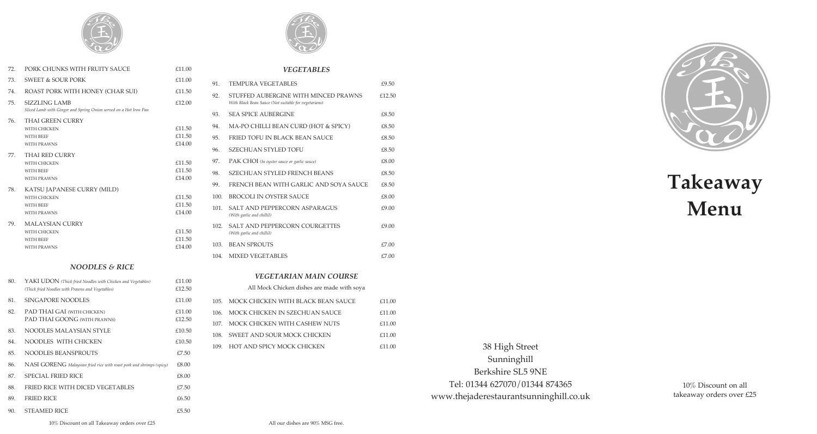

| 72. | PORK CHUNKS WITH FRUITY SAUCE                                                                                   | £11.00                     |
|-----|-----------------------------------------------------------------------------------------------------------------|----------------------------|
| 73. | <b>SWEET &amp; SOUR PORK</b>                                                                                    | £11.00                     |
| 74. | ROAST PORK WITH HONEY (CHAR SUI)                                                                                | £11.50                     |
| 75. | <b>SIZZLING LAMB</b><br>Sliced Lamb with Ginger and Spring Onion served on a Hot Iron Pan                       | £12.00                     |
| 76. | THAI GREEN CURRY<br>WITH CHICKEN<br>WITH BEEF<br><b>WITH PRAWNS</b>                                             | £11.50<br>£11.50<br>£14.00 |
| 77. | <b>THAI RED CURRY</b><br>WITH CHICKEN<br><b>WITH BEEF</b><br><b>WITH PRAWNS</b>                                 | £11.50<br>£11.50<br>£14.00 |
| 78. | KATSU JAPANESE CURRY (MILD)<br><b>WITH CHICKEN</b><br><b>WITH BEEF</b><br><b>WITH PRAWNS</b>                    | £11.50<br>£11.50<br>£14.00 |
| 79. | <b>MALAYSIAN CURRY</b><br>WITH CHICKEN<br><b>WITH BEEF</b><br><b>WITH PRAWNS</b>                                | £11.50<br>£11.50<br>£14.00 |
|     | <b>NOODLES &amp; RICE</b>                                                                                       |                            |
| 80. | YAKI UDON (Thick fried Noodles with Chicken and Vegetables)<br>(Thick fried Moodles with Drawns and Vegetables) | £11.00<br>f12.50           |





| 91.  | TEMPURA VEGETABLES                                                                           | £9.50  |
|------|----------------------------------------------------------------------------------------------|--------|
| 92.  | STUFFED AUBERGINE WITH MINCED PRAWNS<br>With Black Bean Sauce (Not suitable for vegetarians) | £12.50 |
| 93.  | <b>SEA SPICE AUBERGINE</b>                                                                   | £8.50  |
| 94.  | MA-PO CHILLI BEAN CURD (HOT & SPICY)                                                         | £8.50  |
| 95.  | FRIED TOFU IN BLACK BEAN SAUCE                                                               | £8.50  |
| 96.  | SZECHUAN STYLED TOFU                                                                         | £8.50  |
| 97.  | PAK CHOI (In oyster sauce or garlic sauce)                                                   | £8.00  |
| 98.  | SZECHUAN STYLED FRENCH BEANS                                                                 | £8.50  |
| 99.  | FRENCH BEAN WITH GARLIC AND SOYA SAUCE                                                       | £8.50  |
| 100. | BROCOLI IN OYSTER SAUCE                                                                      | £8.00  |
| 101. | SALT AND PEPPERCORN ASPARAGUS<br>(With garlic and chilliI)                                   | £9.00  |
| 102. | <b>SALT AND PEPPERCORN COURGETTES</b><br>(With garlic and chilliI)                           | £9.00  |
| 103. | <b>BEAN SPROUTS</b>                                                                          | E7.00  |
| 104. | MIXED VEGETABLES                                                                             | E7.00  |
|      |                                                                                              |        |

#### *VEGETARIAN MAIN COURSE*

|      | All Mock Chicken dishes are made with soya |        |
|------|--------------------------------------------|--------|
|      | 105. MOCK CHICKEN WITH BLACK BEAN SAUCE    | £11.00 |
| 106. | MOCK CHICKEN IN SZECHUAN SAUCE             | £11.00 |
|      | 107. MOCK CHICKEN WITH CASHEW NUTS         | £11.00 |
|      | 108. SWEET AND SOUR MOCK CHICKEN           | £11.00 |
|      | 109. HOT AND SPICY MOCK CHICKEN            | f11.00 |

## 38 High Street Sunninghill Berkshire SL5 9NE Tel: 01344 627070/01344 874365 www.thejaderestaurantsunninghill.co.uk

10% Discount on all takeaway orders over £25



# **Takeaway Menu**